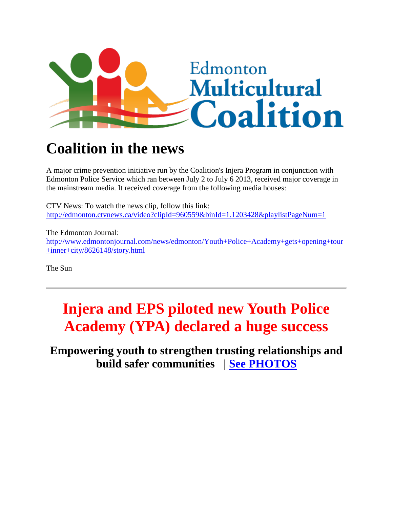

## **Coalition in the news**

A major crime prevention initiative run by the Coalition's Injera Program in conjunction with Edmonton Police Service which ran between July 2 to July 6 2013, received major coverage in the mainstream media. It received coverage from the following media houses:

CTV News: To watch the news clip, follow this link[:](http://edmonton.ctvnews.ca/video?clipId=960559&binId=1.1203428&playlistPageNum=1) <http://edmonton.ctvnews.ca/video?clipId=960559&binId=1.1203428&playlistPageNum=1>

The Edmonton Journal: [http://www.edmontonjournal.com/news/edmonton/Youth+Police+Academy+gets+opening+tour](http://www.edmontonjournal.com/news/edmonton/Youth+Police+Academy+gets+opening+tour+inner+city/8626148/story.html) [+inner+city/8626148/story.html](http://www.edmontonjournal.com/news/edmonton/Youth+Police+Academy+gets+opening+tour+inner+city/8626148/story.html)

The Sun

## **Injera and EPS piloted new Youth Police Academy (YPA) declared a huge success**

**Empowering youth to strengthen trusting relationships and build safer communities | [See PHOTOS](http://www.emcoalition.ca/photo-gallery/)**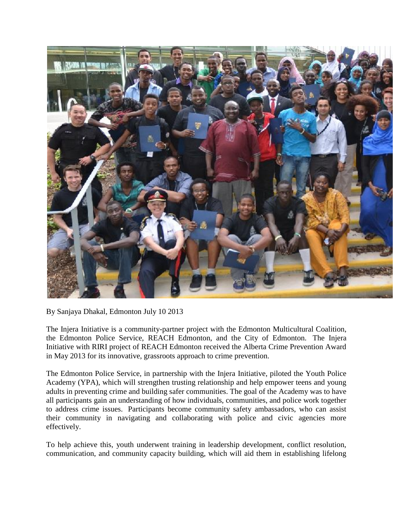

By Sanjaya Dhakal, Edmonton July 10 2013

The Injera Initiative is a community-partner project with the Edmonton Multicultural Coalition, the Edmonton Police Service, REACH Edmonton, and the City of Edmonton. The Injera Initiative with RIRI project of REACH Edmonton received the Alberta Crime Prevention Award in May 2013 for its innovative, grassroots approach to crime prevention.

The Edmonton Police Service, in partnership with the Injera Initiative, piloted the Youth Police Academy (YPA), which will strengthen trusting relationship and help empower teens and young adults in preventing crime and building safer communities. The goal of the Academy was to have all participants gain an understanding of how individuals, communities, and police work together to address crime issues. Participants become community safety ambassadors, who can assist their community in navigating and collaborating with police and civic agencies more effectively.

To help achieve this, youth underwent training in leadership development, conflict resolution, communication, and community capacity building, which will aid them in establishing lifelong